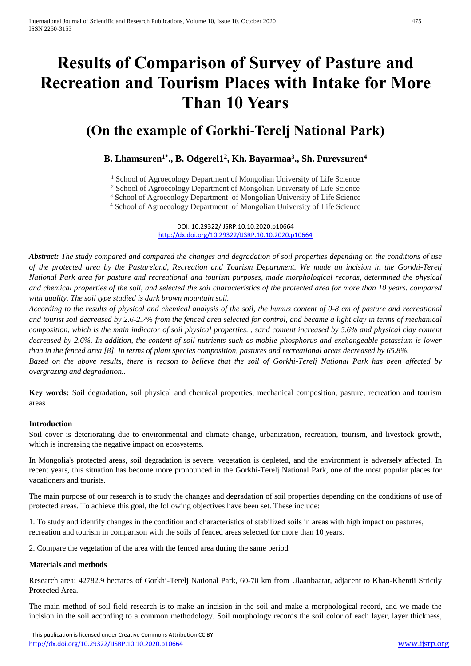# **Results of Comparison of Survey of Pasture and Recreation and Tourism Places with Intake for More Than 10 Years**

# **(On the example of Gorkhi-Terelj National Park)**

# **B. Lhamsuren1\* ., B. Odgerel1<sup>2</sup> , Kh. Bayarmaa<sup>3</sup> ., Sh. Purevsuren<sup>4</sup>**

<sup>1</sup> School of Agroecology Department of Mongolian University of Life Science

<sup>2</sup> School of Agroecology Department of Mongolian University of Life Science

<sup>3</sup> School of Agroecology Department of Mongolian University of Life Science

<sup>4</sup> School of Agroecology Department of Mongolian University of Life Science

DOI: 10.29322/IJSRP.10.10.2020.p10664 <http://dx.doi.org/10.29322/IJSRP.10.10.2020.p10664>

*Abstract: The study compared and compared the changes and degradation of soil properties depending on the conditions of use of the protected area by the Pastureland, Recreation and Tourism Department. We made an incision in the Gorkhi-Terelj National Park area for pasture and recreational and tourism purposes, made morphological records, determined the physical and chemical properties of the soil, and selected the soil characteristics of the protected area for more than 10 years. compared with quality. The soil type studied is dark brown mountain soil.*

*According to the results of physical and chemical analysis of the soil, the humus content of 0-8 cm of pasture and recreational and tourist soil decreased by 2.6-2.7% from the fenced area selected for control, and became a light clay in terms of mechanical composition, which is the main indicator of soil physical properties. , sand content increased by 5.6% and physical clay content decreased by 2.6%. In addition, the content of soil nutrients such as mobile phosphorus and exchangeable potassium is lower than in the fenced area [8]. In terms of plant species composition, pastures and recreational areas decreased by 65.8%. Based on the above results, there is reason to believe that the soil of Gorkhi-Terelj National Park has been affected by overgrazing and degradation..*

**Key words:** Soil degradation, soil physical and chemical properties, mechanical composition, pasture, recreation and tourism areas

## **Introduction**

Soil cover is deteriorating due to environmental and climate change, urbanization, recreation, tourism, and livestock growth, which is increasing the negative impact on ecosystems.

In Mongolia's protected areas, soil degradation is severe, vegetation is depleted, and the environment is adversely affected. In recent years, this situation has become more pronounced in the Gorkhi-Terelj National Park, one of the most popular places for vacationers and tourists.

The main purpose of our research is to study the changes and degradation of soil properties depending on the conditions of use of protected areas. To achieve this goal, the following objectives have been set. These include:

1. To study and identify changes in the condition and characteristics of stabilized soils in areas with high impact on pastures, recreation and tourism in comparison with the soils of fenced areas selected for more than 10 years.

2. Compare the vegetation of the area with the fenced area during the same period

## **Materials and methods**

Research area: 42782.9 hectares of Gorkhi-Terelj National Park, 60-70 km from Ulaanbaatar, adjacent to Khan-Khentii Strictly Protected Area.

The main method of soil field research is to make an incision in the soil and make a morphological record, and we made the incision in the soil according to a common methodology. Soil morphology records the soil color of each layer, layer thickness,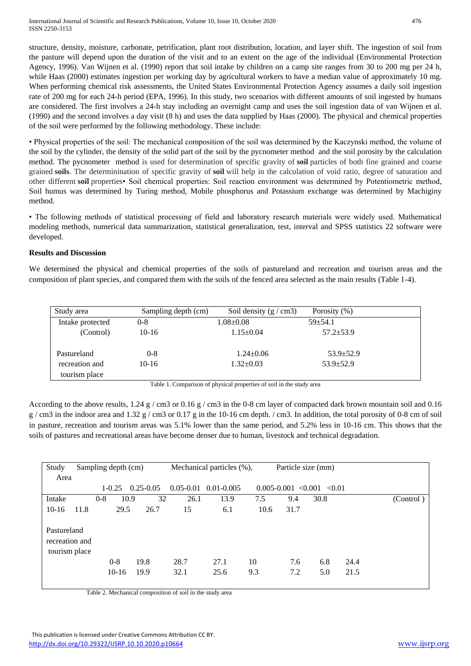structure, density, moisture, carbonate, petrification, plant root distribution, location, and layer shift. The ingestion of soil from the pasture will depend upon the duration of the visit and to an extent on the age of the individual (Environmental Protection Agency, 1996). Van Wijnen et al. (1990) report that soil intake by children on a camp site ranges from 30 to 200 mg per 24 h, while Haas (2000) estimates ingestion per working day by agricultural workers to have a median value of approximately 10 mg. When performing chemical risk assessments, the United States Environmental Protection Agency assumes a daily soil ingestion rate of 200 mg for each 24-h period (EPA, 1996). In this study, two scenarios with different amounts of soil ingested by humans are considered. The first involves a 24-h stay including an overnight camp and uses the soil ingestion data of van Wijnen et al. (1990) and the second involves a day visit (8 h) and uses the data supplied by Haas (2000). The physical and chemical properties of the soil were performed by the following methodology. These include:

• Physical properties of the soil: The mechanical composition of the soil was determined by the Kaczynski method, the volume of the soil by the cylinder, the density of the solid part of the soil by the pycnometer method and the soil porosity by the calculation method. The pycnometer method is used for determination of specific gravity of **soil** particles of both fine grained and coarse grained **soils**. The determinination of specific gravity of **soil** will help in the calculation of void ratio, degree of saturation and other different **soil** properties• Soil chemical properties: Soil reaction environment was determined by Potentiometric method, Soil humus was determined by Turing method, Mobile phosphorus and Potassium exchange was determined by Machiginy method.

• The following methods of statistical processing of field and laboratory research materials were widely used. Mathematical modeling methods, numerical data summarization, statistical generalization, test, interval and SPSS statistics 22 software were developed.

# **Results and Discussion**

We determined the physical and chemical properties of the soils of pastureland and recreation and tourism areas and the composition of plant species, and compared them with the soils of the fenced area selected as the main results (Table 1-4).

| Study area       | Sampling depth (cm) | Soil density $(g/cm3)$ | Porosity $(\%)$ |
|------------------|---------------------|------------------------|-----------------|
| Intake protected | $0 - 8$             | $1.08 \pm 0.08$        | $59 + 54.1$     |
| (Control)        | $10-16$             | $1.15 \pm 0.04$        | $57.2 \pm 53.9$ |
|                  |                     |                        |                 |
| Pastureland      | $0 - 8$             | $1.24 \pm 0.06$        | $53.9 \pm 52.9$ |
| recreation and   | $10-16$             | $1.32 \pm 0.03$        | $53.9 \pm 52.9$ |
| tourism place    |                     |                        |                 |

Table 1. Comparison of physical properties of soil in the study area

According to the above results,  $1.24 \text{ g / cm}$  or  $0.16 \text{ g / cm}$  in the 0-8 cm layer of compacted dark brown mountain soil and 0.16  $g / cm3$  in the indoor area and 1.32 g / cm3 or 0.17 g in the 10-16 cm depth. / cm3. In addition, the total porosity of 0-8 cm of soil in pasture, recreation and tourism areas was 5.1% lower than the same period, and 5.2% less in 10-16 cm. This shows that the soils of pastures and recreational areas have become denser due to human, livestock and technical degradation.

| Study<br>Area                                  | Sampling depth (cm) |            |                    |               |               | Mechanical particles (%), |           |            | Particle size (mm)             |              |           |
|------------------------------------------------|---------------------|------------|--------------------|---------------|---------------|---------------------------|-----------|------------|--------------------------------|--------------|-----------|
|                                                |                     | $1 - 0.25$ |                    | $0.25 - 0.05$ | $0.05 - 0.01$ | $0.01 - 0.005$            |           |            | $0.005 - 0.001 < 0.001 < 0.01$ |              |           |
| Intake                                         |                     | $0 - 8$    | 10.9               | 32            | 26.1          | 13.9                      | 7.5       | 9.4        | 30.8                           |              | (Control) |
| $10-16$                                        | 11.8                |            | 29.5               | 26.7          | 15            | 6.1                       | 10.6      | 31.7       |                                |              |           |
| Pastureland<br>recreation and<br>tourism place |                     |            | $0 - 8$<br>$10-16$ | 19.8<br>19.9  | 28.7<br>32.1  | 27.1<br>25.6              | 10<br>9.3 | 7.6<br>7.2 | 6.8<br>5.0                     | 24.4<br>21.5 |           |

Table 2. Mechanical composition of soil in the study area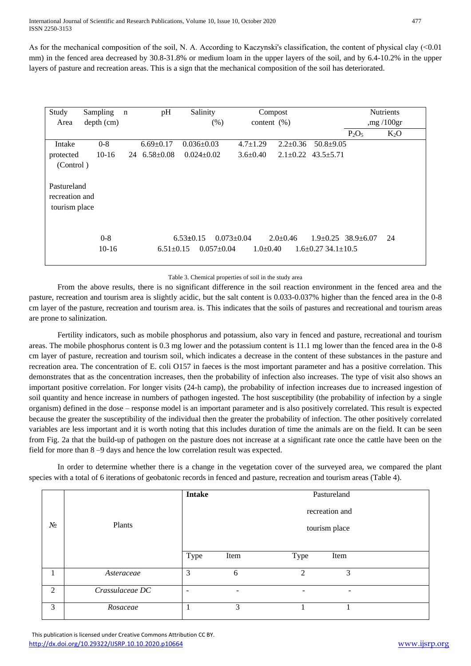International Journal of Scientific and Research Publications, Volume 10, Issue 10, October 2020 477 ISSN 2250-3153

As for the mechanical composition of the soil, N. A. According to Kaczynski's classification, the content of physical clay (<0.01) mm) in the fenced area decreased by 30.8-31.8% or medium loam in the upper layers of the soil, and by 6.4-10.2% in the upper layers of pasture and recreation areas. This is a sign that the mechanical composition of the soil has deteriorated.

| Study                                          | Sampling           | $\mathbf n$ | pH                 | Salinity                            |                                | Compost        |                                                       |          | <b>Nutrients</b> |
|------------------------------------------------|--------------------|-------------|--------------------|-------------------------------------|--------------------------------|----------------|-------------------------------------------------------|----------|------------------|
| Area                                           | depth (cm)         |             |                    | (% )                                |                                | content $(\%)$ |                                                       |          | mg/100gr         |
|                                                |                    |             |                    |                                     |                                |                |                                                       | $P_2O_5$ | $K_2O$           |
| Intake                                         | $0 - 8$            |             | $6.69 \pm 0.17$    | $0.036 \pm 0.03$                    | $4.7 \pm 1.29$                 | $2.2 \pm 0.36$ | $50.8 \pm 9.05$                                       |          |                  |
| protected                                      | $10-16$            |             | 24 $6.58 \pm 0.08$ | $0.024 \pm 0.02$                    | $3.6 \pm 0.40$                 | $2.1 \pm 0.22$ | $43.5 + 5.71$                                         |          |                  |
| (Control)                                      |                    |             |                    |                                     |                                |                |                                                       |          |                  |
| Pastureland<br>recreation and<br>tourism place |                    |             |                    |                                     |                                |                |                                                       |          |                  |
|                                                | $0 - 8$<br>$10-16$ |             | $6.51 \pm 0.15$    | $6.53 \pm 0.15$<br>$0.057 \pm 0.04$ | $0.073 \pm 0.04$<br>$1.0+0.40$ | $2.0+0.46$     | $1.9\pm0.25$ 38.9 $\pm6.07$<br>$1.6+0.27$ 34.1 + 10.5 |          | 24               |

Table 3. Chemical properties of soil in the study area

From the above results, there is no significant difference in the soil reaction environment in the fenced area and the pasture, recreation and tourism area is slightly acidic, but the salt content is 0.033-0.037% higher than the fenced area in the 0-8 cm layer of the pasture, recreation and tourism area. is. This indicates that the soils of pastures and recreational and tourism areas are prone to salinization.

Fertility indicators, such as mobile phosphorus and potassium, also vary in fenced and pasture, recreational and tourism areas. The mobile phosphorus content is 0.3 mg lower and the potassium content is 11.1 mg lower than the fenced area in the 0-8 cm layer of pasture, recreation and tourism soil, which indicates a decrease in the content of these substances in the pasture and recreation area. The concentration of E. coli O157 in faeces is the most important parameter and has a positive correlation. This demonstrates that as the concentration increases, then the probability of infection also increases. The type of visit also shows an important positive correlation. For longer visits (24-h camp), the probability of infection increases due to increased ingestion of soil quantity and hence increase in numbers of pathogen ingested. The host susceptibility (the probability of infection by a single organism) defined in the dose – response model is an important parameter and is also positively correlated. This result is expected because the greater the susceptibility of the individual then the greater the probability of infection. The other positively correlated variables are less important and it is worth noting that this includes duration of time the animals are on the field. It can be seen from Fig. 2a that the build-up of pathogen on the pasture does not increase at a significant rate once the cattle have been on the field for more than 8 –9 days and hence the low correlation result was expected.

In order to determine whether there is a change in the vegetation cover of the surveyed area, we compared the plant species with a total of 6 iterations of geobatonic records in fenced and pasture, recreation and tourism areas (Table 4).

|       |                 | <b>Intake</b>            |               | Pastureland |      |  |  |  |  |
|-------|-----------------|--------------------------|---------------|-------------|------|--|--|--|--|
|       |                 | recreation and           |               |             |      |  |  |  |  |
| $N_2$ | Plants          |                          | tourism place |             |      |  |  |  |  |
|       |                 |                          |               |             |      |  |  |  |  |
|       |                 | Type                     | Item          | Type        | Item |  |  |  |  |
|       | Asteraceae      | 3                        | 6             | 2           | 3    |  |  |  |  |
| 2     | Crassulaceae DC | $\overline{\phantom{0}}$ | -             | -           | ۰    |  |  |  |  |
| 3     | Rosaceae        |                          | 3             |             |      |  |  |  |  |

 This publication is licensed under Creative Commons Attribution CC BY. <http://dx.doi.org/10.29322/IJSRP.10.10.2020.p10664> [www.ijsrp.org](http://ijsrp.org/)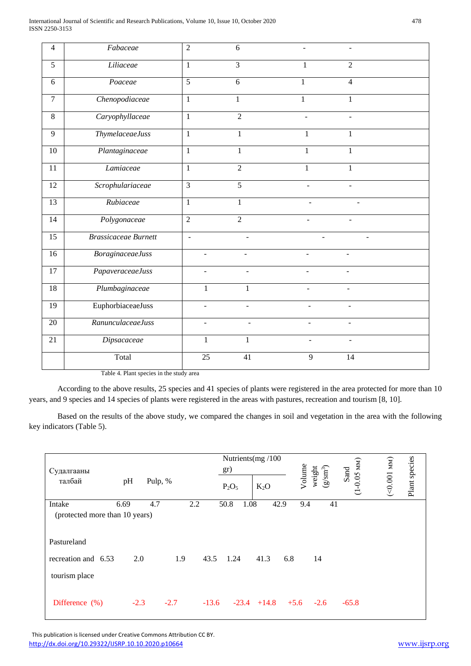| $\overline{4}$  | Fabaceae                    | $\overline{2}$  | 6                        |                          |                          |  |
|-----------------|-----------------------------|-----------------|--------------------------|--------------------------|--------------------------|--|
| 5               | Liliaceae                   | $\mathbf{1}$    | $\overline{3}$           | 1                        | $\overline{2}$           |  |
| 6               | Poaceae                     | $\overline{5}$  | 6                        | 1                        | $\overline{4}$           |  |
| $\overline{7}$  | Chenopodiaceae              | $\mathbf{1}$    | 1                        | $\mathbf{1}$             | 1                        |  |
| $\overline{8}$  | Caryophyllaceae             | $\mathbf{1}$    | $\overline{2}$           |                          |                          |  |
| 9               | <b>ThymelaceaeJuss</b>      | $\mathbf{1}$    | $\mathbf{1}$             | 1                        | $\mathbf{1}$             |  |
| 10              | Plantaginaceae              | $\mathbf{1}$    | $\mathbf{1}$             | $\mathbf{1}$             | $\mathbf{1}$             |  |
| 11              | Lamiaceae                   | $\mathbf{1}$    | $\overline{2}$           | $\mathbf{1}$             | $\mathbf{1}$             |  |
| 12              | Scrophulariaceae            | $\overline{3}$  | $\overline{5}$           |                          | L.                       |  |
| 13              | Rubiaceae                   | $\mathbf{1}$    | $\mathbf{1}$             | $\blacksquare$           | ÷                        |  |
| $\overline{14}$ | Polygonaceae                | $\overline{2}$  | $\overline{2}$           | $\overline{\phantom{a}}$ | $\blacksquare$           |  |
| $\overline{15}$ | <b>Brassicaceae Burnett</b> | $\blacksquare$  | $\overline{\phantom{a}}$ | $\blacksquare$           |                          |  |
| 16              | <b>BoraginaceaeJuss</b>     | ÷,              | $\overline{\phantom{a}}$ | $\blacksquare$           | ÷,                       |  |
| $\overline{17}$ | PapaveraceaeJuss            |                 |                          |                          |                          |  |
| 18              | Plumbaginaceae              | $\mathbf{1}$    | $\mathbf{1}$             | L.                       |                          |  |
| $\overline{19}$ | EuphorbiaceaeJuss           | $\overline{a}$  | L.                       | L.                       | ÷                        |  |
| $\overline{20}$ | RanunculaceaeJuss           | $\overline{a}$  | $\frac{1}{2}$            | ÷,                       | $\overline{\phantom{a}}$ |  |
| 21              | Dipsacaceae                 | 1               | $\mathbf{1}$             | $\overline{\phantom{0}}$ | $\blacksquare$           |  |
|                 | Total                       | $\overline{25}$ | 41                       | $\overline{9}$           | 14                       |  |
|                 | $T-1.1 - 4$ D1.             |                 |                          |                          |                          |  |

Table 4. Plant species in the study area

According to the above results, 25 species and 41 species of plants were registered in the area protected for more than 10 years, and 9 species and 14 species of plants were registered in the areas with pastures, recreation and tourism [8, 10].

Based on the results of the above study, we compared the changes in soil and vegetation in the area with the following key indicators (Table 5).

| Судалгааны<br>талбай                     | pH     | Pulp, % |     |      | Nutrients(mg/100<br>gr)<br>$P_2O_5$ | $K_2O$ | Volume | $(g/\mathrm{sm}^3)$<br>weight | $-0.05$ MM<br>Sand<br>$\overline{\mathbf{C}}$ | (100.001) | Plant species |
|------------------------------------------|--------|---------|-----|------|-------------------------------------|--------|--------|-------------------------------|-----------------------------------------------|-----------|---------------|
| Intake<br>(protected more than 10 years) | 6.69   | 4.7     | 2.2 |      | 1.08<br>50.8                        | 42.9   | 9.4    | 41                            |                                               |           |               |
| Pastureland                              |        |         |     |      |                                     |        |        |                               |                                               |           |               |
| recreation and 6.53                      | 2.0    |         | 1.9 | 43.5 | 1.24                                | 41.3   | 6.8    | 14                            |                                               |           |               |
| tourism place                            |        |         |     |      |                                     |        |        |                               |                                               |           |               |
| Difference $(\% )$                       | $-2.3$ | $-2.7$  |     |      | $-13.6$ $-23.4$ $+14.8$ $+5.6$      |        |        | $-2.6$                        | $-65.8$                                       |           |               |

 This publication is licensed under Creative Commons Attribution CC BY. <http://dx.doi.org/10.29322/IJSRP.10.10.2020.p10664> [www.ijsrp.org](http://ijsrp.org/)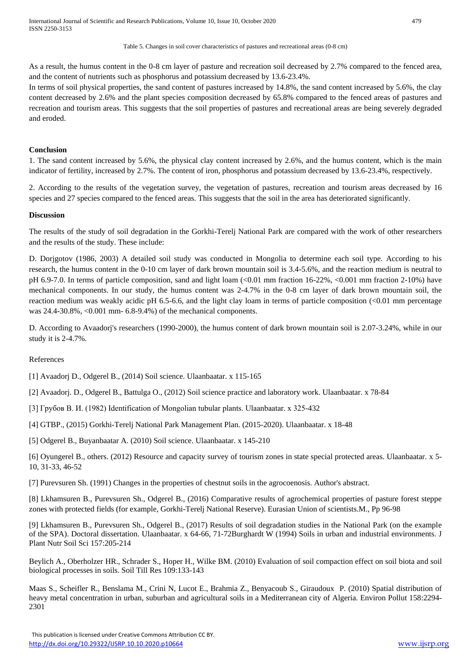International Journal of Scientific and Research Publications, Volume 10, Issue 10, October 2020 479 ISSN 2250-3153

#### Table 5. Changes in soil cover characteristics of pastures and recreational areas (0-8 cm)

As a result, the humus content in the 0-8 cm layer of pasture and recreation soil decreased by 2.7% compared to the fenced area, and the content of nutrients such as phosphorus and potassium decreased by 13.6-23.4%.

In terms of soil physical properties, the sand content of pastures increased by 14.8%, the sand content increased by 5.6%, the clay content decreased by 2.6% and the plant species composition decreased by 65.8% compared to the fenced areas of pastures and recreation and tourism areas. This suggests that the soil properties of pastures and recreational areas are being severely degraded and eroded.

#### **Conclusion**

1. The sand content increased by 5.6%, the physical clay content increased by 2.6%, and the humus content, which is the main indicator of fertility, increased by 2.7%. The content of iron, phosphorus and potassium decreased by 13.6-23.4%, respectively.

2. According to the results of the vegetation survey, the vegetation of pastures, recreation and tourism areas decreased by 16 species and 27 species compared to the fenced areas. This suggests that the soil in the area has deteriorated significantly.

#### **Discussion**

The results of the study of soil degradation in the Gorkhi-Terelj National Park are compared with the work of other researchers and the results of the study. These include:

D. Dorjgotov (1986, 2003) A detailed soil study was conducted in Mongolia to determine each soil type. According to his research, the humus content in the 0-10 cm layer of dark brown mountain soil is 3.4-5.6%, and the reaction medium is neutral to pH 6.9-7.0. In terms of particle composition, sand and light loam (<0.01 mm fraction 16-22%, <0.001 mm fraction 2-10%) have mechanical components. In our study, the humus content was 2-4.7% in the 0-8 cm layer of dark brown mountain soil, the reaction medium was weakly acidic pH 6.5-6.6, and the light clay loam in terms of particle composition  $\langle 0.01 \text{ mm}$  percentage was 24.4-30.8%, <0.001 mm- 6.8-9.4%) of the mechanical components.

D. According to Avaadorj's researchers (1990-2000), the humus content of dark brown mountain soil is 2.07-3.24%, while in our study it is 2-4.7%.

#### References

[1] Avaadorj D., Odgerel B., (2014) Soil science. Ulaanbaatar. x 115-165

[2] Avaadorj. D., Odgerel B., Battulga O., (2012) Soil science practice and laboratory work. Ulaanbaatar. x 78-84

[3] Грубов В. И. (1982) Identification of Mongolian tubular plants. Ulaanbaatar. x 325-432

[4] GTBP., (2015) Gorkhi-Terelj National Park Management Plan. (2015-2020). Ulaanbaatar. x 18-48

[5] Odgerel B., Buyanbaatar A. (2010) Soil science. Ulaanbaatar. x 145-210

[6] Oyungerel B., others. (2012) Resource and capacity survey of tourism zones in state special protected areas. Ulaanbaatar. x 5- 10, 31-33, 46-52

[7] Purevsuren Sh. (1991) Changes in the properties of chestnut soils in the agrocoenosis. Author's abstract.

[8] Lkhamsuren B., Purevsuren Sh., Odgerel B., (2016) Comparative results of agrochemical properties of pasture forest steppe zones with protected fields (for example, Gorkhi-Terelj National Reserve). Eurasian Union of scientists.M., Pp 96-98

[9] Lkhamsuren B., Purevsuren Sh., Odgerel B., (2017) Results of soil degradation studies in the National Park (on the example of the SPA). Doctoral dissertation. Ulaanbaatar. x 64-66, 71-72Burghardt W (1994) Soils in urban and industrial environments. J Plant Nutr Soil Sci 157:205-214

Beylich A., Oberholzer HR., Schrader S., Hoper H., Wilke BM. (2010) Evaluation of soil compaction effect on soil biota and soil biological processes in soils. Soil Till Res 109:133-143

Maas S., Scheifler R., Benslama M., Crini N, Lucot E., Brahmia Z., Benyacoub S., Giraudoux P. (2010) Spatial distribution of heavy metal concentration in urban, suburban and agricultural soils in a Mediterranean city of Algeria. Environ Pollut 158:2294- 2301